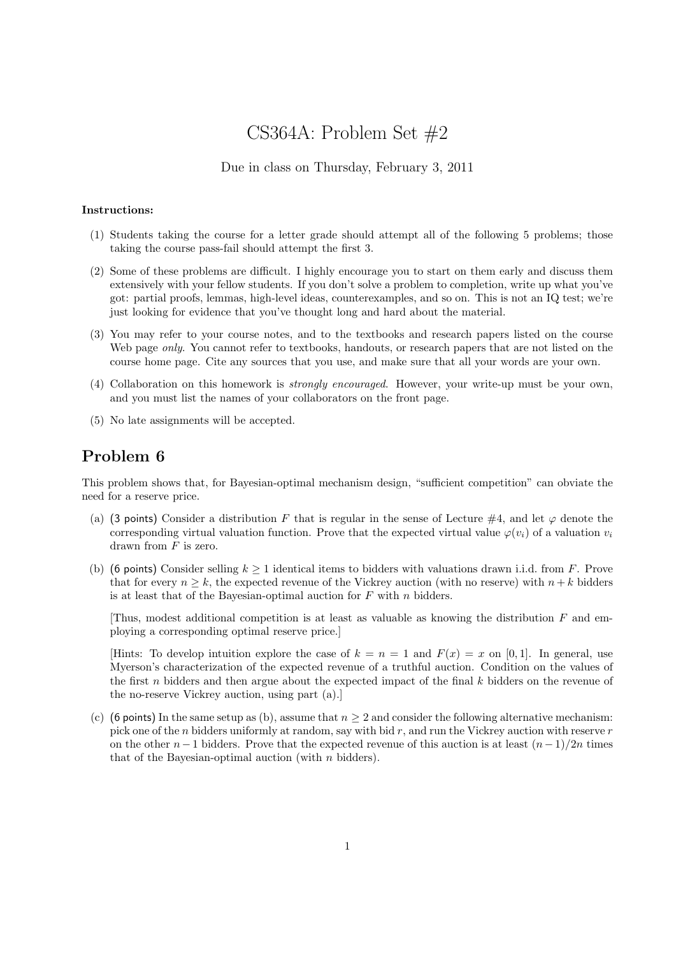# CS364A: Problem Set #2

#### Due in class on Thursday, February 3, 2011

#### Instructions:

- (1) Students taking the course for a letter grade should attempt all of the following 5 problems; those taking the course pass-fail should attempt the first 3.
- (2) Some of these problems are difficult. I highly encourage you to start on them early and discuss them extensively with your fellow students. If you don't solve a problem to completion, write up what you've got: partial proofs, lemmas, high-level ideas, counterexamples, and so on. This is not an IQ test; we're just looking for evidence that you've thought long and hard about the material.
- (3) You may refer to your course notes, and to the textbooks and research papers listed on the course Web page *only*. You cannot refer to textbooks, handouts, or research papers that are not listed on the course home page. Cite any sources that you use, and make sure that all your words are your own.
- (4) Collaboration on this homework is strongly encouraged. However, your write-up must be your own, and you must list the names of your collaborators on the front page.
- (5) No late assignments will be accepted.

## Problem 6

This problem shows that, for Bayesian-optimal mechanism design, "sufficient competition" can obviate the need for a reserve price.

- (a) (3 points) Consider a distribution F that is regular in the sense of Lecture #4, and let  $\varphi$  denote the corresponding virtual valuation function. Prove that the expected virtual value  $\varphi(v_i)$  of a valuation  $v_i$ drawn from  $F$  is zero.
- (b) (6 points) Consider selling  $k \ge 1$  identical items to bidders with valuations drawn i.i.d. from F. Prove that for every  $n \geq k$ , the expected revenue of the Vickrey auction (with no reserve) with  $n + k$  bidders is at least that of the Bayesian-optimal auction for  $F$  with  $n$  bidders.

Thus, modest additional competition is at least as valuable as knowing the distribution  $F$  and employing a corresponding optimal reserve price.]

[Hints: To develop intuition explore the case of  $k = n = 1$  and  $F(x) = x$  on [0, 1]. In general, use Myerson's characterization of the expected revenue of a truthful auction. Condition on the values of the first  $n$  bidders and then argue about the expected impact of the final  $k$  bidders on the revenue of the no-reserve Vickrey auction, using part (a).]

(c) (6 points) In the same setup as (b), assume that  $n \geq 2$  and consider the following alternative mechanism: pick one of the n bidders uniformly at random, say with bid  $r$ , and run the Vickrey auction with reserve  $r$ on the other  $n-1$  bidders. Prove that the expected revenue of this auction is at least  $(n-1)/2n$  times that of the Bayesian-optimal auction (with  $n$  bidders).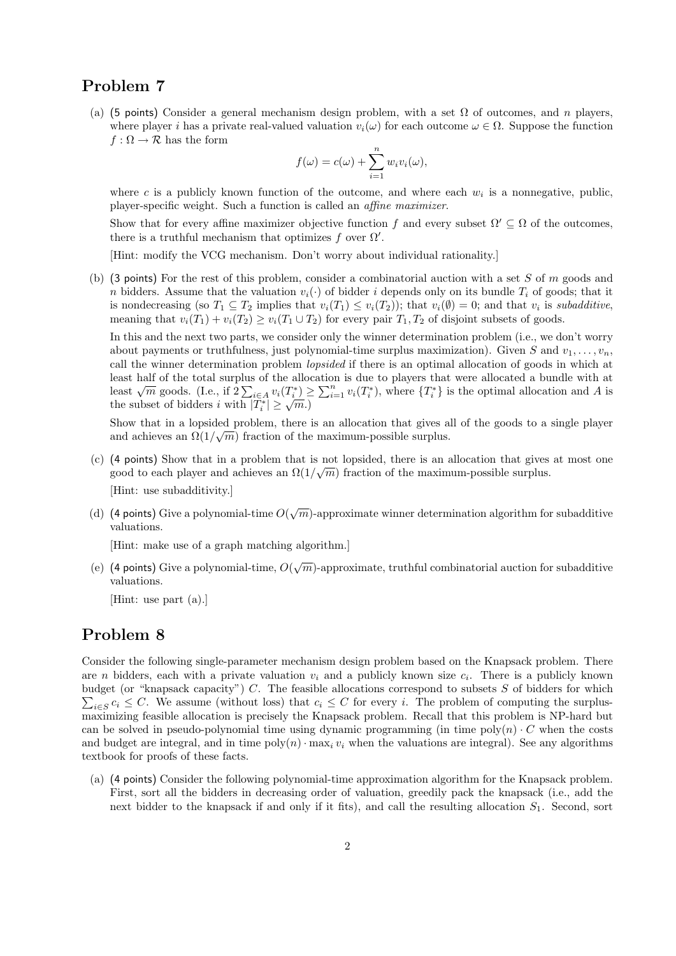# Problem 7

(a) (5 points) Consider a general mechanism design problem, with a set  $\Omega$  of outcomes, and n players, where player i has a private real-valued valuation  $v_i(\omega)$  for each outcome  $\omega \in \Omega$ . Suppose the function  $f : \Omega \to \mathcal{R}$  has the form

$$
f(\omega) = c(\omega) + \sum_{i=1}^{n} w_i v_i(\omega),
$$

where c is a publicly known function of the outcome, and where each  $w_i$  is a nonnegative, public, player-specific weight. Such a function is called an affine maximizer.

Show that for every affine maximizer objective function f and every subset  $\Omega' \subseteq \Omega$  of the outcomes, there is a truthful mechanism that optimizes f over  $\Omega'$ .

[Hint: modify the VCG mechanism. Don't worry about individual rationality.]

(b) (3 points) For the rest of this problem, consider a combinatorial auction with a set  $S$  of  $m$  goods and n bidders. Assume that the valuation  $v_i(\cdot)$  of bidder i depends only on its bundle  $T_i$  of goods; that it is nondecreasing (so  $T_1 \subseteq T_2$  implies that  $v_i(T_1) \le v_i(T_2)$ ); that  $v_i(\emptyset) = 0$ ; and that  $v_i$  is *subadditive*, meaning that  $v_i(T_1) + v_i(T_2) \ge v_i(T_1 \cup T_2)$  for every pair  $T_1, T_2$  of disjoint subsets of goods.

In this and the next two parts, we consider only the winner determination problem (i.e., we don't worry about payments or truthfulness, just polynomial-time surplus maximization). Given S and  $v_1, \ldots, v_n$ , call the winner determination problem lopsided if there is an optimal allocation of goods in which at least half of the total surplus of the allocation is due to players that were allocated a bundle with at least han of the total surplus of the anocation is due to players that were anocated a bundle with at least  $\sqrt{m}$  goods. (I.e., if  $2\sum_{i\in A} v_i(T_i^*) \ge \sum_{i=1}^n v_i(T_i^*)$ , where  $\{T_i^*\}$  is the optimal allocation and A is the subset of bidders i with  $|T_i^*| \geq \sqrt{m}$ .

Show that in a lopsided problem, there is an allocation that gives all of the goods to a single player and achieves an  $\Omega(1/\sqrt{m})$  fraction of the maximum-possible surplus.

- (c) (4 points) Show that in a problem that is not lopsided, there is an allocation that gives at most one good to each player and achieves an  $\Omega(1/\sqrt{m})$  fraction of the maximum-possible surplus. [Hint: use subadditivity.]
- (d) (4 points) Give a polynomial-time  $O(\sqrt{m})$ -approximate winner determination algorithm for subadditive valuations.

[Hint: make use of a graph matching algorithm.]

(e) (4 points) Give a polynomial-time,  $O(\sqrt{m})$ -approximate, truthful combinatorial auction for subadditive valuations.

[Hint: use part (a).]

#### Problem 8

Consider the following single-parameter mechanism design problem based on the Knapsack problem. There are *n* bidders, each with a private valuation  $v_i$  and a publicly known size  $c_i$ . There is a publicly known budget (or "knapsack capacity")  $C$ . The feasible allocations correspond to subsets  $S$  of bidders for which  $\sum_{i\in S} c_i \leq C$ . We assume (without loss) that  $c_i \leq C$  for every i. The problem of computing the surplusmaximizing feasible allocation is precisely the Knapsack problem. Recall that this problem is NP-hard but can be solved in pseudo-polynomial time using dynamic programming (in time poly $(n) \cdot C$  when the costs and budget are integral, and in time  $\text{poly}(n) \cdot \max_i v_i$  when the valuations are integral). See any algorithms textbook for proofs of these facts.

(a) (4 points) Consider the following polynomial-time approximation algorithm for the Knapsack problem. First, sort all the bidders in decreasing order of valuation, greedily pack the knapsack (i.e., add the next bidder to the knapsack if and only if it fits), and call the resulting allocation  $S_1$ . Second, sort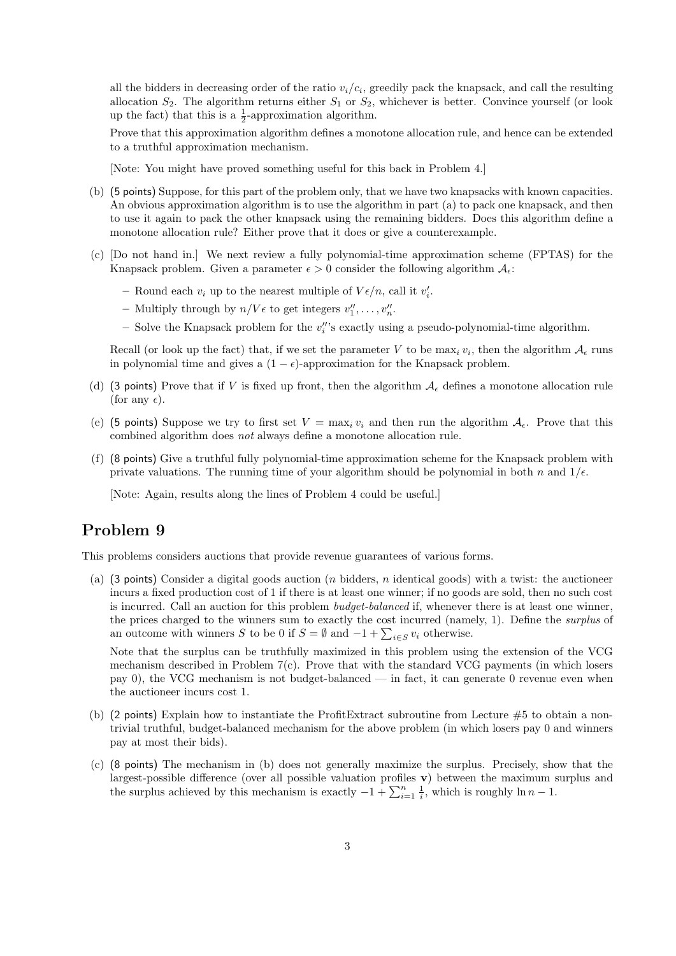all the bidders in decreasing order of the ratio  $v_i/c_i$ , greedily pack the knapsack, and call the resulting allocation  $S_2$ . The algorithm returns either  $S_1$  or  $S_2$ , whichever is better. Convince yourself (or look up the fact) that this is a  $\frac{1}{2}$ -approximation algorithm.

Prove that this approximation algorithm defines a monotone allocation rule, and hence can be extended to a truthful approximation mechanism.

[Note: You might have proved something useful for this back in Problem 4.]

- (b) (5 points) Suppose, for this part of the problem only, that we have two knapsacks with known capacities. An obvious approximation algorithm is to use the algorithm in part (a) to pack one knapsack, and then to use it again to pack the other knapsack using the remaining bidders. Does this algorithm define a monotone allocation rule? Either prove that it does or give a counterexample.
- (c) [Do not hand in.] We next review a fully polynomial-time approximation scheme (FPTAS) for the Knapsack problem. Given a parameter  $\epsilon > 0$  consider the following algorithm  $\mathcal{A}_{\epsilon}$ :
	- Round each  $v_i$  up to the nearest multiple of  $V \epsilon/n$ , call it  $v'_i$ .
	- Multiply through by  $n/V\epsilon$  to get integers  $v''_1, \ldots, v''_n$ .
	- $-$  Solve the Knapsack problem for the  $v_i''$ 's exactly using a pseudo-polynomial-time algorithm.

Recall (or look up the fact) that, if we set the parameter V to be  $\max_i v_i$ , then the algorithm  $\mathcal{A}_{\epsilon}$  runs in polynomial time and gives a  $(1 - \epsilon)$ -approximation for the Knapsack problem.

- (d) (3 points) Prove that if V is fixed up front, then the algorithm  $A_{\epsilon}$  defines a monotone allocation rule (for any  $\epsilon$ ).
- (e) (5 points) Suppose we try to first set  $V = \max_i v_i$  and then run the algorithm  $A_i$ . Prove that this combined algorithm does not always define a monotone allocation rule.
- (f) (8 points) Give a truthful fully polynomial-time approximation scheme for the Knapsack problem with private valuations. The running time of your algorithm should be polynomial in both n and  $1/\epsilon$ .

[Note: Again, results along the lines of Problem 4 could be useful.]

## Problem 9

This problems considers auctions that provide revenue guarantees of various forms.

(a) (3 points) Consider a digital goods auction (*n* bidders, *n* identical goods) with a twist: the auctioneer incurs a fixed production cost of 1 if there is at least one winner; if no goods are sold, then no such cost is incurred. Call an auction for this problem *budget-balanced* if, whenever there is at least one winner, the prices charged to the winners sum to exactly the cost incurred (namely, 1). Define the surplus of an outcome with winners S to be 0 if  $S = \emptyset$  and  $-1 + \sum_{i \in S} v_i$  otherwise.

Note that the surplus can be truthfully maximized in this problem using the extension of the VCG mechanism described in Problem 7(c). Prove that with the standard VCG payments (in which losers pay 0), the VCG mechanism is not budget-balanced — in fact, it can generate 0 revenue even when the auctioneer incurs cost 1.

- (b) (2 points) Explain how to instantiate the ProfitExtract subroutine from Lecture  $#5$  to obtain a nontrivial truthful, budget-balanced mechanism for the above problem (in which losers pay 0 and winners pay at most their bids).
- (c) (8 points) The mechanism in (b) does not generally maximize the surplus. Precisely, show that the largest-possible difference (over all possible valuation profiles v) between the maximum surplus and the surplus achieved by this mechanism is exactly  $-1 + \sum_{i=1}^{n} \frac{1}{i}$ , which is roughly  $\ln n - 1$ .